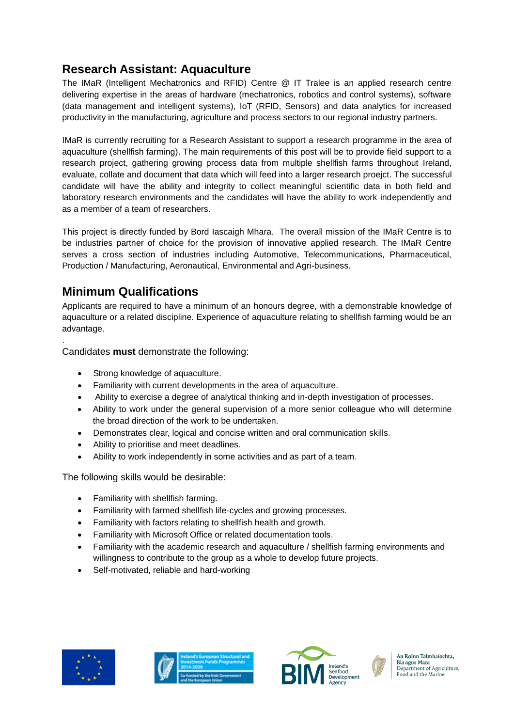## **Research Assistant: Aquaculture**

The IMaR (Intelligent Mechatronics and RFID) Centre @ IT Tralee is an applied research centre delivering expertise in the areas of hardware (mechatronics, robotics and control systems), software (data management and intelligent systems), IoT (RFID, Sensors) and data analytics for increased productivity in the manufacturing, agriculture and process sectors to our regional industry partners.

IMaR is currently recruiting for a Research Assistant to support a research programme in the area of aquaculture (shellfish farming). The main requirements of this post will be to provide field support to a research project, gathering growing process data from multiple shellfish farms throughout Ireland, evaluate, collate and document that data which will feed into a larger research proejct. The successful candidate will have the ability and integrity to collect meaningful scientific data in both field and laboratory research environments and the candidates will have the ability to work independently and as a member of a team of researchers.

This project is directly funded by Bord Iascaigh Mhara. The overall mission of the IMaR Centre is to be industries partner of choice for the provision of innovative applied research. The IMaR Centre serves a cross section of industries including Automotive, Telecommunications, Pharmaceutical, Production / Manufacturing, Aeronautical, Environmental and Agri-business.

### **Minimum Qualifications**

.

Applicants are required to have a minimum of an honours degree, with a demonstrable knowledge of aquaculture or a related discipline. Experience of aquaculture relating to shellfish farming would be an advantage.

Candidates **must** demonstrate the following:

- Strong knowledge of aquaculture.
- Familiarity with current developments in the area of aquaculture.
- Ability to exercise a degree of analytical thinking and in-depth investigation of processes.
- Ability to work under the general supervision of a more senior colleague who will determine the broad direction of the work to be undertaken.
- Demonstrates clear, logical and concise written and oral communication skills.
- Ability to prioritise and meet deadlines.
- Ability to work independently in some activities and as part of a team.

The following skills would be desirable:

- Familiarity with shellfish farming.
- Familiarity with farmed shellfish life-cycles and growing processes.
- Familiarity with factors relating to shellfish health and growth.
- Familiarity with Microsoft Office or related documentation tools.
- Familiarity with the academic research and aquaculture / shellfish farming environments and willingness to contribute to the group as a whole to develop future projects.
- Self-motivated, reliable and hard-working









An Roinn Talmhaíochta. Bia agus Mara Department of Agriculture, Food and the Marine